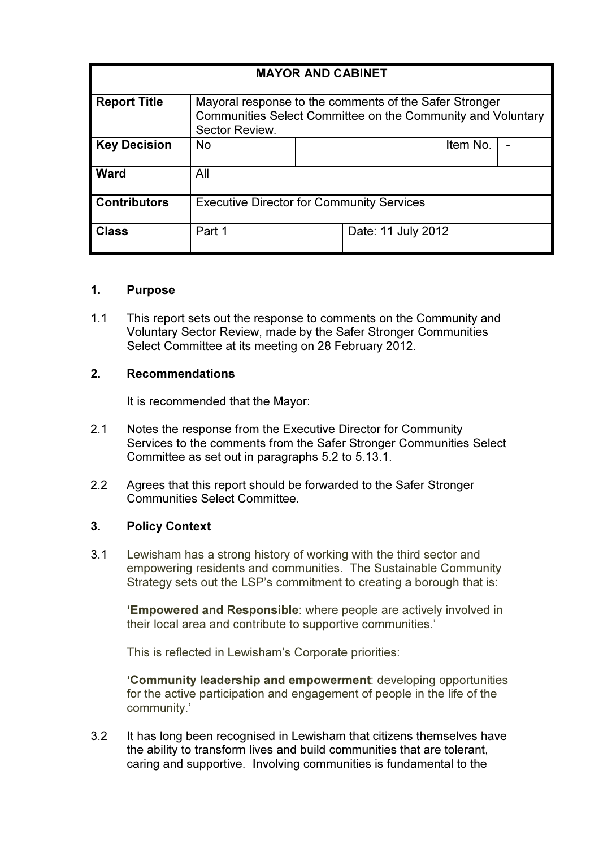| <b>MAYOR AND CABINET</b> |                                                                                                                                         |  |                    |  |
|--------------------------|-----------------------------------------------------------------------------------------------------------------------------------------|--|--------------------|--|
| <b>Report Title</b>      | Mayoral response to the comments of the Safer Stronger<br>Communities Select Committee on the Community and Voluntary<br>Sector Review. |  |                    |  |
| <b>Key Decision</b>      | <b>No</b>                                                                                                                               |  | Item No.           |  |
| <b>Ward</b>              | All                                                                                                                                     |  |                    |  |
| <b>Contributors</b>      | <b>Executive Director for Community Services</b>                                                                                        |  |                    |  |
| <b>Class</b>             | Part 1                                                                                                                                  |  | Date: 11 July 2012 |  |

### 1. Purpose

1.1 This report sets out the response to comments on the Community and Voluntary Sector Review, made by the Safer Stronger Communities Select Committee at its meeting on 28 February 2012.

#### 2. Recommendations

It is recommended that the Mayor:

- 2.1 Notes the response from the Executive Director for Community Services to the comments from the Safer Stronger Communities Select Committee as set out in paragraphs 5.2 to 5.13.1.
- 2.2 Agrees that this report should be forwarded to the Safer Stronger Communities Select Committee.

### 3. Policy Context

3.1 Lewisham has a strong history of working with the third sector and empowering residents and communities. The Sustainable Community Strategy sets out the LSP's commitment to creating a borough that is:

'Empowered and Responsible: where people are actively involved in their local area and contribute to supportive communities.'

This is reflected in Lewisham's Corporate priorities:

'Community leadership and empowerment: developing opportunities for the active participation and engagement of people in the life of the community.'

3.2 It has long been recognised in Lewisham that citizens themselves have the ability to transform lives and build communities that are tolerant, caring and supportive. Involving communities is fundamental to the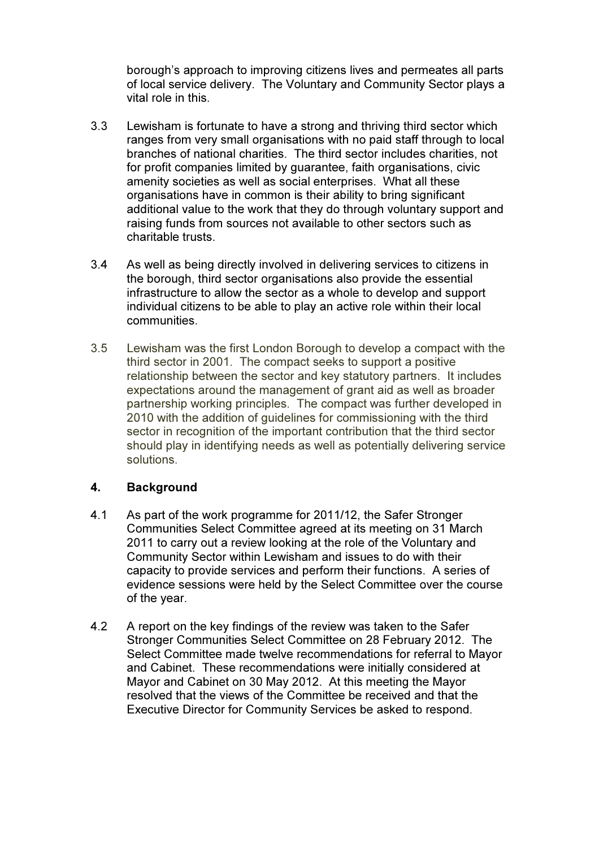borough's approach to improving citizens lives and permeates all parts of local service delivery. The Voluntary and Community Sector plays a vital role in this.

- 3.3 Lewisham is fortunate to have a strong and thriving third sector which ranges from very small organisations with no paid staff through to local branches of national charities. The third sector includes charities, not for profit companies limited by guarantee, faith organisations, civic amenity societies as well as social enterprises. What all these organisations have in common is their ability to bring significant additional value to the work that they do through voluntary support and raising funds from sources not available to other sectors such as charitable trusts.
- 3.4 As well as being directly involved in delivering services to citizens in the borough, third sector organisations also provide the essential infrastructure to allow the sector as a whole to develop and support individual citizens to be able to play an active role within their local communities.
- 3.5 Lewisham was the first London Borough to develop a compact with the third sector in 2001. The compact seeks to support a positive relationship between the sector and key statutory partners. It includes expectations around the management of grant aid as well as broader partnership working principles. The compact was further developed in 2010 with the addition of guidelines for commissioning with the third sector in recognition of the important contribution that the third sector should play in identifying needs as well as potentially delivering service solutions.

### 4. Background

- 4.1 As part of the work programme for 2011/12, the Safer Stronger Communities Select Committee agreed at its meeting on 31 March 2011 to carry out a review looking at the role of the Voluntary and Community Sector within Lewisham and issues to do with their capacity to provide services and perform their functions. A series of evidence sessions were held by the Select Committee over the course of the year.
- 4.2 A report on the key findings of the review was taken to the Safer Stronger Communities Select Committee on 28 February 2012. The Select Committee made twelve recommendations for referral to Mayor and Cabinet. These recommendations were initially considered at Mayor and Cabinet on 30 May 2012. At this meeting the Mayor resolved that the views of the Committee be received and that the Executive Director for Community Services be asked to respond.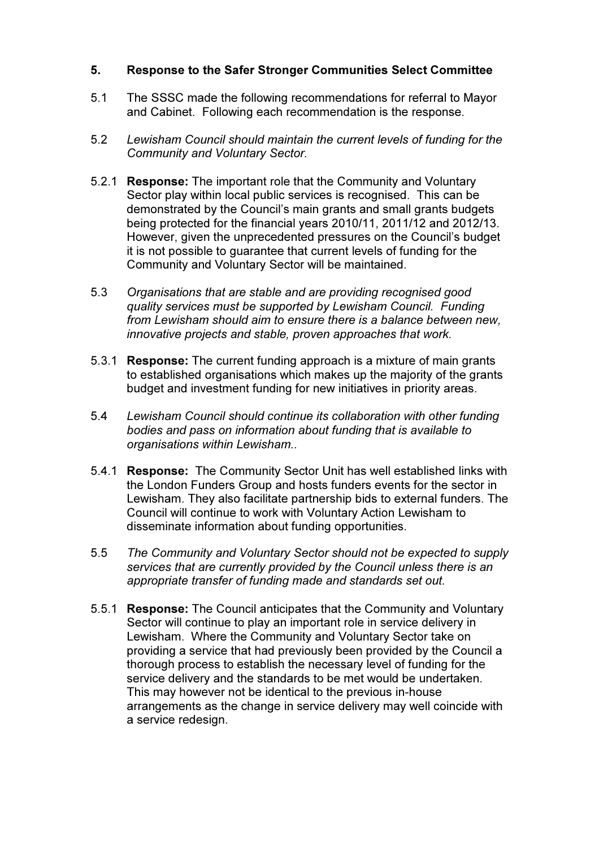### 5. Response to the Safer Stronger Communities Select Committee

- 5.1 The SSSC made the following recommendations for referral to Mayor and Cabinet. Following each recommendation is the response.
- 5.2 Lewisham Council should maintain the current levels of funding for the Community and Voluntary Sector.
- 5.2.1 Response: The important role that the Community and Voluntary Sector play within local public services is recognised. This can be demonstrated by the Council's main grants and small grants budgets being protected for the financial years 2010/11, 2011/12 and 2012/13. However, given the unprecedented pressures on the Council's budget it is not possible to guarantee that current levels of funding for the Community and Voluntary Sector will be maintained.
- 5.3 Organisations that are stable and are providing recognised good quality services must be supported by Lewisham Council. Funding from Lewisham should aim to ensure there is a balance between new, innovative projects and stable, proven approaches that work.
- 5.3.1 Response: The current funding approach is a mixture of main grants to established organisations which makes up the majority of the grants budget and investment funding for new initiatives in priority areas.
- 5.4 Lewisham Council should continue its collaboration with other funding bodies and pass on information about funding that is available to organisations within Lewisham..
- 5.4.1 Response: The Community Sector Unit has well established links with the London Funders Group and hosts funders events for the sector in Lewisham. They also facilitate partnership bids to external funders. The Council will continue to work with Voluntary Action Lewisham to disseminate information about funding opportunities.
- 5.5 The Community and Voluntary Sector should not be expected to supply services that are currently provided by the Council unless there is an appropriate transfer of funding made and standards set out.
- 5.5.1 Response: The Council anticipates that the Community and Voluntary Sector will continue to play an important role in service delivery in Lewisham. Where the Community and Voluntary Sector take on providing a service that had previously been provided by the Council a thorough process to establish the necessary level of funding for the service delivery and the standards to be met would be undertaken. This may however not be identical to the previous in-house arrangements as the change in service delivery may well coincide with a service redesign.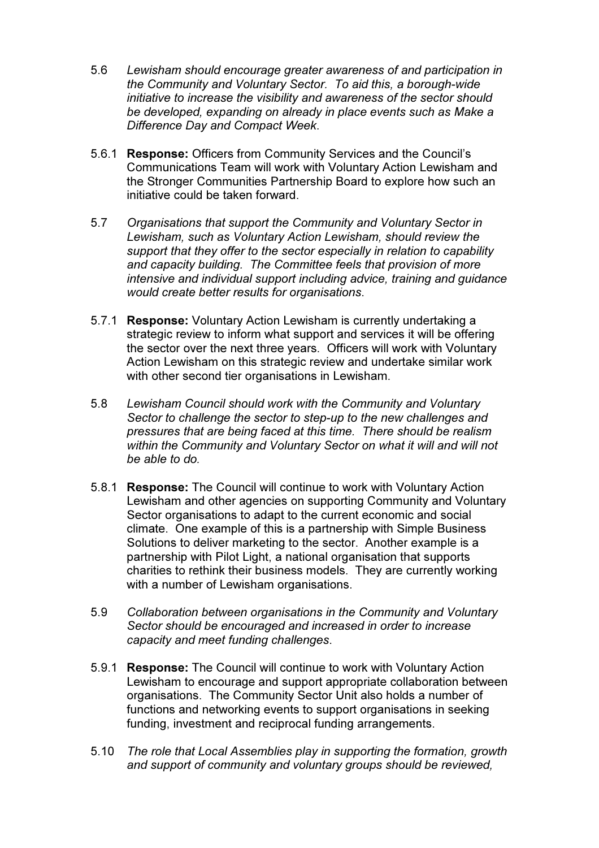- 5.6 Lewisham should encourage greater awareness of and participation in the Community and Voluntary Sector. To aid this, a borough-wide initiative to increase the visibility and awareness of the sector should be developed, expanding on already in place events such as Make a Difference Day and Compact Week.
- 5.6.1 Response: Officers from Community Services and the Council's Communications Team will work with Voluntary Action Lewisham and the Stronger Communities Partnership Board to explore how such an initiative could be taken forward.
- 5.7 Organisations that support the Community and Voluntary Sector in Lewisham, such as Voluntary Action Lewisham, should review the support that they offer to the sector especially in relation to capability and capacity building. The Committee feels that provision of more intensive and individual support including advice, training and guidance would create better results for organisations.
- 5.7.1 Response: Voluntary Action Lewisham is currently undertaking a strategic review to inform what support and services it will be offering the sector over the next three years. Officers will work with Voluntary Action Lewisham on this strategic review and undertake similar work with other second tier organisations in Lewisham.
- 5.8 Lewisham Council should work with the Community and Voluntary Sector to challenge the sector to step-up to the new challenges and pressures that are being faced at this time. There should be realism within the Community and Voluntary Sector on what it will and will not be able to do.
- 5.8.1 Response: The Council will continue to work with Voluntary Action Lewisham and other agencies on supporting Community and Voluntary Sector organisations to adapt to the current economic and social climate. One example of this is a partnership with Simple Business Solutions to deliver marketing to the sector. Another example is a partnership with Pilot Light, a national organisation that supports charities to rethink their business models. They are currently working with a number of Lewisham organisations.
- 5.9 Collaboration between organisations in the Community and Voluntary Sector should be encouraged and increased in order to increase capacity and meet funding challenges.
- 5.9.1 Response: The Council will continue to work with Voluntary Action Lewisham to encourage and support appropriate collaboration between organisations. The Community Sector Unit also holds a number of functions and networking events to support organisations in seeking funding, investment and reciprocal funding arrangements.
- 5.10 The role that Local Assemblies play in supporting the formation, growth and support of community and voluntary groups should be reviewed,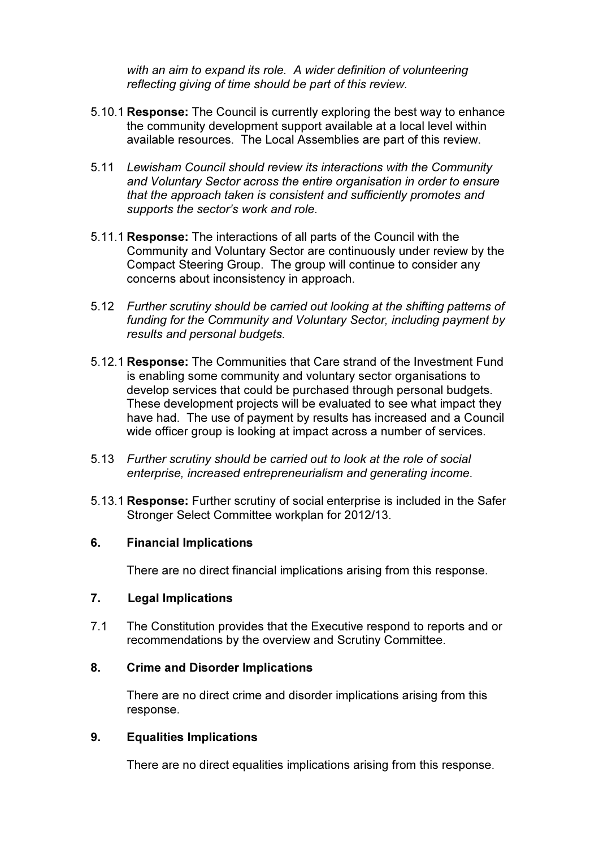with an aim to expand its role. A wider definition of volunteering reflecting giving of time should be part of this review.

- 5.10.1 Response: The Council is currently exploring the best way to enhance the community development support available at a local level within available resources. The Local Assemblies are part of this review.
- 5.11 Lewisham Council should review its interactions with the Community and Voluntary Sector across the entire organisation in order to ensure that the approach taken is consistent and sufficiently promotes and supports the sector's work and role.
- 5.11.1 Response: The interactions of all parts of the Council with the Community and Voluntary Sector are continuously under review by the Compact Steering Group. The group will continue to consider any concerns about inconsistency in approach.
- 5.12 Further scrutiny should be carried out looking at the shifting patterns of funding for the Community and Voluntary Sector, including payment by results and personal budgets.
- 5.12.1 Response: The Communities that Care strand of the Investment Fund is enabling some community and voluntary sector organisations to develop services that could be purchased through personal budgets. These development projects will be evaluated to see what impact they have had. The use of payment by results has increased and a Council wide officer group is looking at impact across a number of services.
- 5.13 Further scrutiny should be carried out to look at the role of social enterprise, increased entrepreneurialism and generating income.
- 5.13.1 Response: Further scrutiny of social enterprise is included in the Safer Stronger Select Committee workplan for 2012/13.

### 6. Financial Implications

There are no direct financial implications arising from this response.

### 7. Legal Implications

7.1 The Constitution provides that the Executive respond to reports and or recommendations by the overview and Scrutiny Committee.

### 8. Crime and Disorder Implications

 There are no direct crime and disorder implications arising from this response.

### 9. Equalities Implications

There are no direct equalities implications arising from this response.